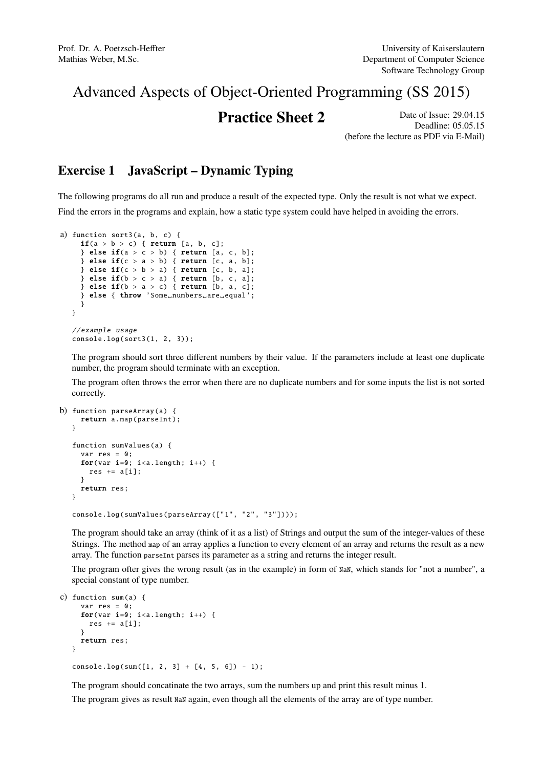# Advanced Aspects of Object-Oriented Programming (SS 2015)

**Practice Sheet 2** Date of Issue: 29.04.15 Deadline: 05.05.15 (before the lecture as PDF via E-Mail)

# Exercise 1 JavaScript – Dynamic Typing

The following programs do all run and produce a result of the expected type. Only the result is not what we expect. Find the errors in the programs and explain, how a static type system could have helped in avoiding the errors.

```
a) function sort3(a, b, c) {
    \textbf{if}(a > b > c) { return [a, b, c];
    } else if(a > c > b) { return [a, c, b];
    } else if(c > a > b) { return [c, a, b];
    } else if(c > b > a) \{ return [c, b, a];} else if(b > c > a) { return [b, c, a];
    } else if(b > a > c) { return [b, a, c];
    } else { throw 'Some_numbers_are_equal';
     }
  }
  // example usage
  console.log(sort3 (1, 2, 3));
```
The program should sort three different numbers by their value. If the parameters include at least one duplicate number, the program should terminate with an exception.

The program often throws the error when there are no duplicate numbers and for some inputs the list is not sorted correctly.

```
b) function parseArray (a) {
    return a.map(parseInt);
  }
   function sumValues (a) {
    var res = 0:
     for(var i=0; i<a.length; i++) {
      res += a[i];}
    return res;
   }
  console.log( sumValues ( parseArray (["1", "2", "3"])));
```
The program should take an array (think of it as a list) of Strings and output the sum of the integer-values of these Strings. The method map of an array applies a function to every element of an array and returns the result as a new array. The function parseInt parses its parameter as a string and returns the integer result.

The program ofter gives the wrong result (as in the example) in form of NaN, which stands for "not a number", a special constant of type number.

```
c) function sum(a) {
    var res = 0;
     for(var i=0; i<a.length; i++) {
      res += a[i];}
    return res;
  }
  console.log(sum([1, 2, 3] + [4, 5, 6]) - 1);
```
The program should concatinate the two arrays, sum the numbers up and print this result minus 1.

The program gives as result NaN again, even though all the elements of the array are of type number.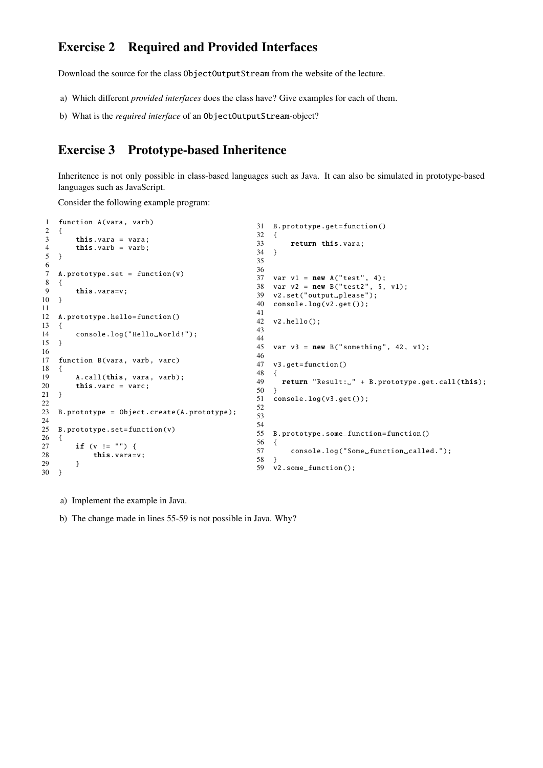### Exercise 2 Required and Provided Interfaces

Download the source for the class ObjectOutputStream from the website of the lecture.

- a) Which different *provided interfaces* does the class have? Give examples for each of them.
- b) What is the *required interface* of an ObjectOutputStream-object?

#### Exercise 3 Prototype-based Inheritence

Inheritence is not only possible in class-based languages such as Java. It can also be simulated in prototype-based languages such as JavaScript.

Consider the following example program:

```
1 function A(vara, varb)
2 {
3 this.vara = vara;<br>4 this.varb = varb;
        this.varb = varb;
5 }
6
7 A. prototype .set = function(v)
8 {
9 this.vara=v;
10 }
\frac{11}{12}A. prototype.hello=function ()
13 {
14 console.log("Hello_World!");
15 }
16
17 function B(vara, varb, varc)
18 {
19 A.call(this, vara, varb);<br>20 this. varc = varc;
        this.varc = varc;
21 }
2223 B. prototype = Object.create(A. prototype);
24
25 B. prototype .set=function(v)
\frac{26}{27} {
27 if (v := "") {<br>28 this vara=
             this.vara=v;
29 }
30 }
                                                       31 B. prototype .get=function ()
                                                       32 {
                                                       33 return this.vara;
                                                       34 }
                                                       35
                                                       36
                                                        37 var v1 = new A("test", 4);
                                                        38 var v2 = new B("test2", 5, v1);
                                                        39 v2.set("output_please");
                                                       40 console.log(v2.get ());
                                                       41
                                                       42 v2.hello ();
                                                       43
                                                       44
                                                       45 var v3 = new B("something", 42, v1);\frac{46}{47}v3.get=function()
                                                       48 {
                                                       49 return "Result:\Box" + B. prototype.get.call(this);<br>50 }
                                                          \mathcal{F}51 console.log(v3.get());
                                                       52
                                                       53
                                                       54
                                                       55 B. prototype . some_function =function ()
                                                       56 {
                                                       57 console.log("Some<sub>u</sub>function<sub>u</sub>called.");
                                                       \frac{5}{58} }
                                                       59 v2. some_function ();
```
a) Implement the example in Java.

b) The change made in lines 55-59 is not possible in Java. Why?